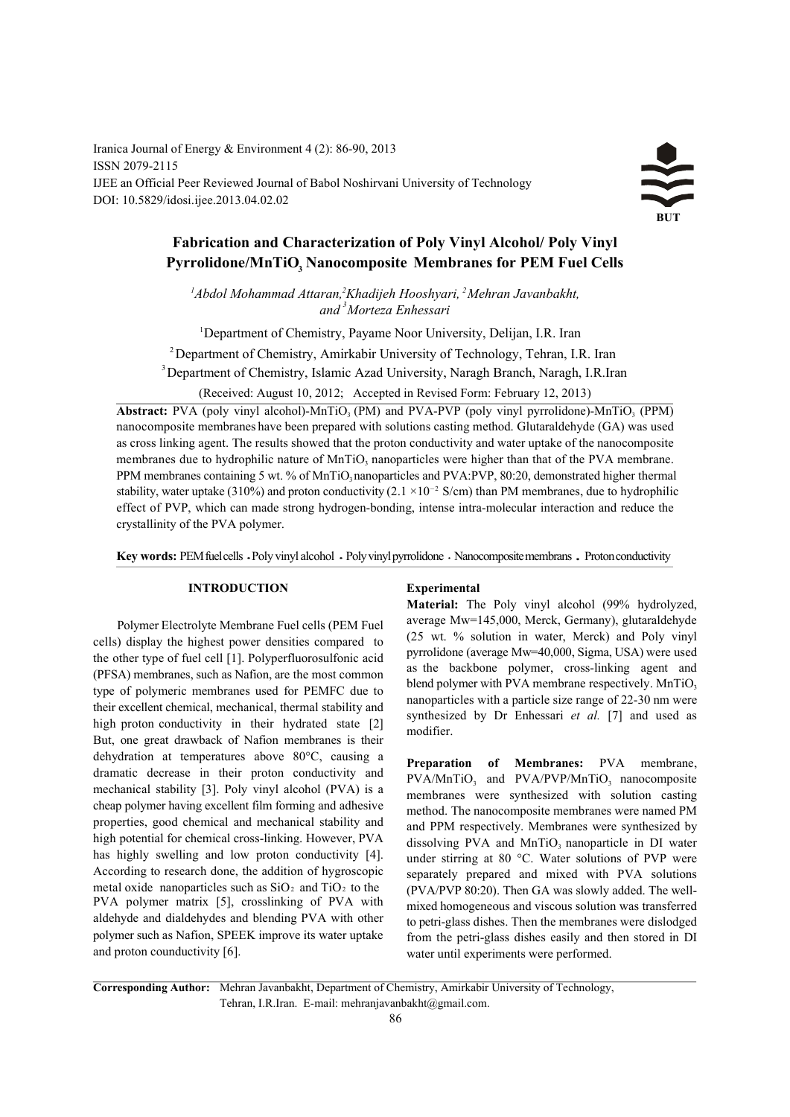Iranica Journal of Energy & Environment 4 (2): 86-90, 2013 ISSN 2079-2115 IJEE an Official Peer Reviewed Journal of Babol Noshirvani University of Technology DOI: 10.5829/idosi.ijee.2013.04.02.02

# $\leq$ **BUT**

## **Fabrication and Characterization of Poly Vinyl Alcohol/ Poly Vinyl Pyrrolidone/MnTiO Nanocomposite Membranes for PEM Fuel Cells <sup>3</sup>**

<sup>1</sup>Abdol Mohammad Attaran,<sup>2</sup>Khadijeh Hooshyari, <sup>2</sup>Mehran Javanbakht,  *and Morteza Enhessari 3*

<sup>1</sup>Department of Chemistry, Payame Noor University, Delijan, I.R. Iran

 $^{2}$ Department of Chemistry, Amirkabir University of Technology, Tehran, I.R. Iran

<sup>3</sup> Department of Chemistry, Islamic Azad University, Naragh Branch, Naragh, I.R.Iran

(Received: August 10, 2012; Accepted in Revised Form: February 12, 2013)

**Abstract:** PVA (poly vinyl alcohol)-MnTiO<sub>3</sub> (PM) and PVA-PVP (poly vinyl pyrrolidone)-MnTiO<sub>3</sub> (PPM) nanocomposite membranes have been prepared with solutions casting method. Glutaraldehyde (GA) was used as cross linking agent. The results showed that the proton conductivity and water uptake of the nanocomposite membranes due to hydrophilic nature of MnTiO, nanoparticles were higher than that of the PVA membrane. PPM membranes containing 5 wt. % of MnTiO nanoparticles and PVA:PVP, 80:20, demonstrated higher thermal stability, water uptake (310%) and proton conductivity (2.1  $\times$ 10<sup>-2</sup> S/cm) than PM membranes, due to hydrophilic effect of PVP, which can made strong hydrogen-bonding, intense intra-molecular interaction and reduce the crystallinity of the PVA polymer.

Key words: PEM fuel cells · Poly vinyl alcohol · Poly vinyl pyrrolidone · Nanocomposite membrans · Proton conductivity

## **INTRODUCTION Experimental**

Polymer Electrolyte Membrane Fuel cells (PEM Fuel cells) display the highest power densities compared to the other type of fuel cell [1]. Polyperfluorosulfonic acid (PFSA) membranes, such as Nafion, are the most common type of polymeric membranes used for PEMFC due to their excellent chemical, mechanical, thermal stability and high proton conductivity in their hydrated state [2] But, one great drawback of Nafion membranes is their dehydration at temperatures above 80°C, causing a dramatic decrease in their proton conductivity and mechanical stability [3]. Poly vinyl alcohol (PVA) is a cheap polymer having excellent film forming and adhesive properties, good chemical and mechanical stability and high potential for chemical cross-linking. However, PVA has highly swelling and low proton conductivity [4]. According to research done, the addition of hygroscopic metal oxide nanoparticles such as  $SiO<sub>2</sub>$  and  $TiO<sub>2</sub>$  to the PVA polymer matrix [5], crosslinking of PVA with aldehyde and dialdehydes and blending PVA with other polymer such as Nafion, SPEEK improve its water uptake and proton counductivity [6].

**Material:** The Poly vinyl alcohol (99% hydrolyzed, average Mw=145,000, Merck, Germany), glutaraldehyde (25 wt. % solution in water, Merck) and Poly vinyl pyrrolidone (average Mw=40,000, Sigma, USA) were used as the backbone polymer, cross-linking agent and blend polymer with PVA membrane respectively. MnTiO<sub>3</sub> nanoparticles with a particle size range of 22-30 nm were synthesized by Dr Enhessari *et al.* [7] and used as modifier.

**Preparation of Membranes:** PVA membrane, PVA/MnTiO<sub>3</sub> and PVA/PVP/MnTiO<sub>3</sub> nanocomposite membranes were synthesized with solution casting method. The nanocomposite membranes were named PM and PPM respectively. Membranes were synthesized by dissolving PVA and  $MnTiO<sub>3</sub>$  nanoparticle in DI water under stirring at 80 °C. Water solutions of PVP were separately prepared and mixed with PVA solutions (PVA/PVP 80:20). Then GA was slowly added. The wellmixed homogeneous and viscous solution was transferred to petri-glass dishes. Then the membranes were dislodged from the petri-glass dishes easily and then stored in DI water until experiments were performed.

**Corresponding Author:** Mehran Javanbakht, Department of Chemistry, Amirkabir University of Technology, Tehran, I.R.Iran. E-mail: mehranjavanbakht@gmail.com.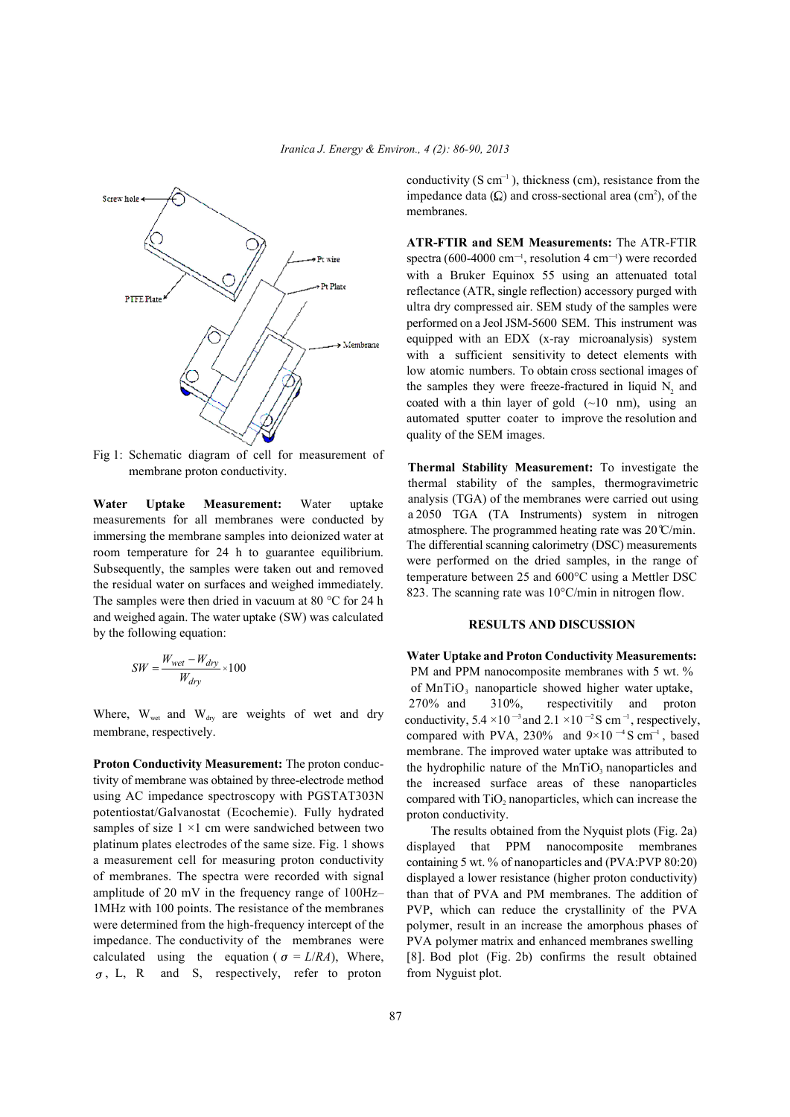

Fig 1: Schematic diagram of cell for measurement of membrane proton conductivity.

**Water Uptake Measurement:** Water uptake measurements for all membranes were conducted by immersing the membrane samples into deionized water at room temperature for 24 h to guarantee equilibrium. Subsequently, the samples were taken out and removed the residual water on surfaces and weighed immediately. The samples were then dried in vacuum at 80 °C for 24 h and weighed again. The water uptake (SW) was calculated by the following equation:

$$
SW = \frac{W_{wet} - W_{dry}}{W_{dry}} \times 100
$$

Where,  $W_{\text{wet}}$  and  $W_{\text{dry}}$  are weights of wet and dry membrane, respectively.

**Proton Conductivity Measurement:** The proton conductivity of membrane was obtained by three-electrode method using AC impedance spectroscopy with PGSTAT303N potentiostat/Galvanostat (Ecochemie). Fully hydrated samples of size  $1 \times 1$  cm were sandwiched between two platinum plates electrodes of the same size. Fig. 1 shows a measurement cell for measuring proton conductivity of membranes. The spectra were recorded with signal amplitude of 20 mV in the frequency range of 100Hz– 1MHz with 100 points. The resistance of the membranes were determined from the high-frequency intercept of the impedance. The conductivity of the membranes were calculated using the equation ( $\sigma = L/RA$ ), Where,  $\sigma$ , L, R and S, respectively, refer to proton

conductivity (S  $cm^{-1}$ ), thickness (cm), resistance from the impedance data  $(Q)$  and cross-sectional area (cm<sup>2</sup>), of the membranes.

**ATR-FTIR and SEM Measurements:** The ATR-FTIR spectra (600-4000 cm<sup>-1</sup>, resolution 4 cm<sup>-1</sup>) were recorded with a Bruker Equinox 55 using an attenuated total reflectance (ATR, single reflection) accessory purged with ultra dry compressed air. SEM study of the samples were performed on a Jeol JSM-5600 SEM. This instrument was equipped with an EDX (x-ray microanalysis) system with a sufficient sensitivity to detect elements with low atomic numbers. To obtain cross sectional images of the samples they were freeze-fractured in liquid  $N_2$  and coated with a thin layer of gold  $(-10 \text{ nm})$ , using an automated sputter coater to improve the resolution and quality of the SEM images.

**Thermal Stability Measurement:** To investigate the thermal stability of the samples, thermogravimetric analysis (TGA) of the membranes were carried out using a 2050 TGA (TA Instruments) system in nitrogen atmosphere. The programmed heating rate was  $20^{\circ}$ C/min. The differential scanning calorimetry (DSC) measurements were performed on the dried samples, in the range of temperature between 25 and 600°C using a Mettler DSC 823. The scanning rate was  $10^{\circ}$ C/min in nitrogen flow.

### **RESULTS AND DISCUSSION**

**Water Uptake and Proton Conductivity Measurements:** PM and PPM nanocomposite membranes with 5 wt. % of MnTiO<sub>3</sub> nanoparticle showed higher water uptake, 270% and 310%, respectivitily and proton conductivity,  $5.4 \times 10^{-3}$  and  $2.1 \times 10^{-2}$  S cm<sup>-1</sup>, respectively, compared with PVA, 230% and  $9\times10^{-4}$  S cm<sup>-1</sup>, based membrane. The improved water uptake was attributed to the hydrophilic nature of the  $MnTiO<sub>3</sub>$  nanoparticles and the increased surface areas of these nanoparticles compared with  $TiO<sub>2</sub>$  nanoparticles, which can increase the proton conductivity.

The results obtained from the Nyquist plots (Fig. 2a) displayed that PPM nanocomposite membranes containing 5 wt. % of nanoparticles and (PVA:PVP 80:20) displayed a lower resistance (higher proton conductivity) than that of PVA and PM membranes. The addition of PVP, which can reduce the crystallinity of the PVA polymer, result in an increase the amorphous phases of PVA polymer matrix and enhanced membranes swelling [8]. Bod plot (Fig. 2b) confirms the result obtained from Nyguist plot.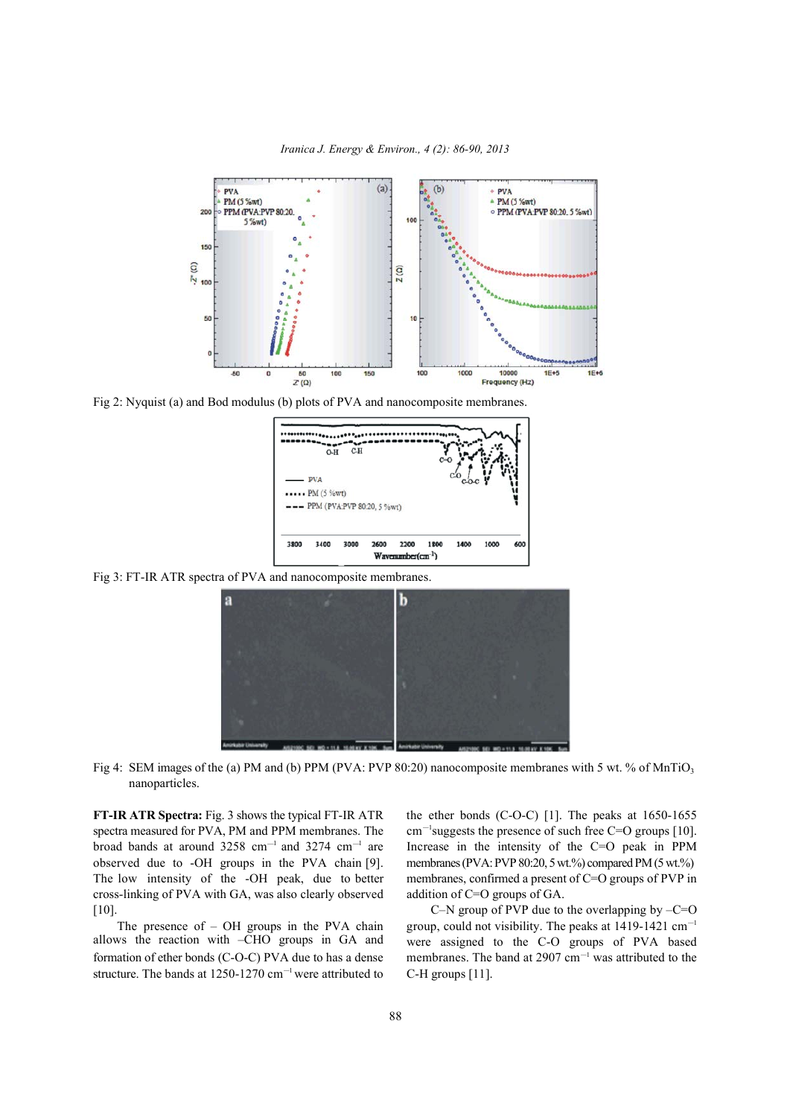



Fig 2: Nyquist (a) and Bod modulus (b) plots of PVA and nanocomposite membranes.



Fig 3: FT-IR ATR spectra of PVA and nanocomposite membranes.



Fig 4: SEM images of the (a) PM and (b) PPM (PVA: PVP 80:20) nanocomposite membranes with 5 wt. % of MnTiO<sub>3</sub> nanoparticles.

**FT-IR ATR Spectra:** Fig. 3 shows the typical FT-IR ATR the ether bonds (C-O-C) [1]. The peaks at 1650-1655 spectra measured for PVA, PM and PPM membranes. The  $\text{cm}^{-1}$  suggests the presence of such free C=O groups [10]. broad bands at around  $3258 \text{ cm}^{-1}$  and  $3274 \text{ cm}^{-1}$  are 1 Increase in the intensity of the C=O peak in PPM observed due to -OH groups in the PVA chain [9]. membranes (PVA: PVP 80:20, 5wt.%) compared PM (5wt.%) The low intensity of the -OH peak, due to better membranes, confirmed a present of C=O groups of PVP in cross-linking of PVA with GA, was also clearly observed addition of C=O groups of GA. [10]. C–N group of PVP due to the overlapping by –C=O

formation of ether bonds (C-O-C) PVA due to has a dense membranes. The band at 2907 cm<sup>-1</sup> was attributed to the structure. The bands at  $1250-1270$  cm<sup>-1</sup> were attributed to C-H groups [11]. allows the reaction with -CHO groups in GA and

The presence of  $-$  OH groups in the PVA chain group, could not visibility. The peaks at 1419-1421 cm<sup>-1</sup> were assigned to the C-O groups of PVA based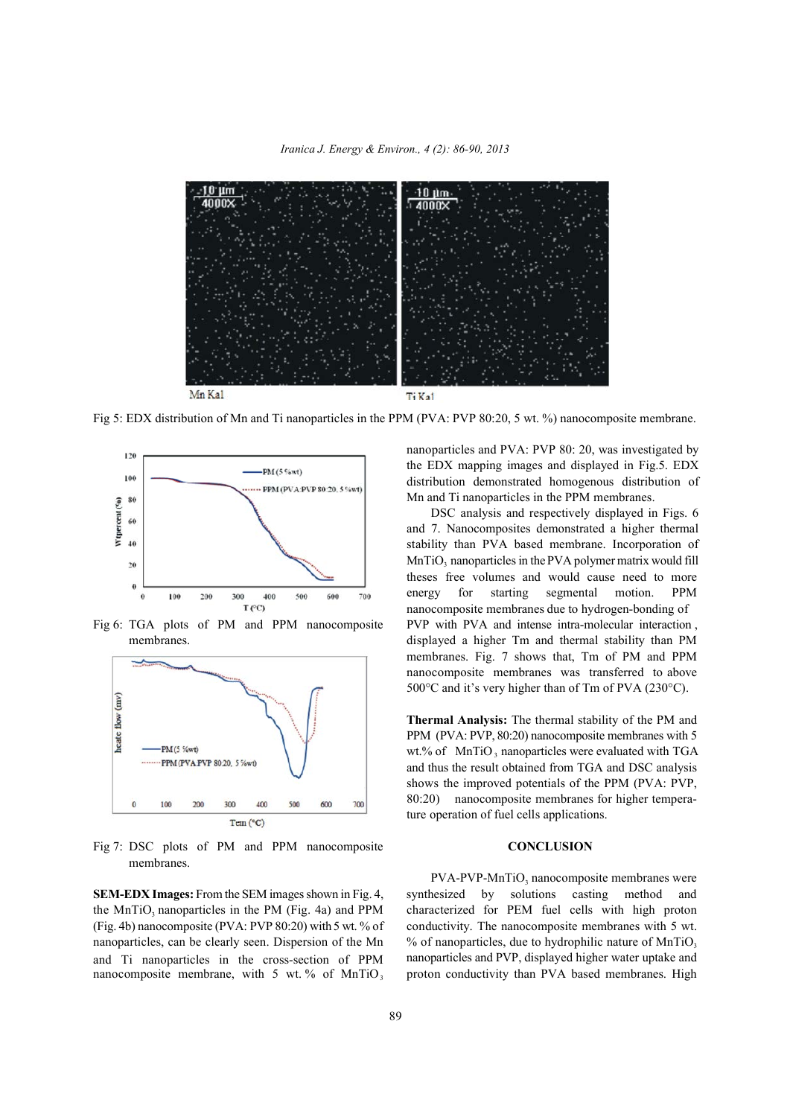*Iranica J. Energy & Environ., 4 (2): 86-90, 2013*



Fig 5: EDX distribution of Mn and Ti nanoparticles in the PPM (PVA: PVP 80:20, 5 wt. %) nanocomposite membrane.





Fig 7: DSC plots of PM and PPM nanocomposite **CONCLUSION** membranes.

nanoparticles, can be clearly seen. Dispersion of the Mn and Ti nanoparticles in the cross-section of PPM nanoparticles and PVA: PVP 80: 20, was investigated by the EDX mapping images and displayed in Fig.5. EDX distribution demonstrated homogenous distribution of Mn and Ti nanoparticles in the PPM membranes.

Fig 6: TGA plots of PM and PPM nanocomposite PVP with PVA and intense intra-molecular interaction, membranes. displayed a higher Tm and thermal stability than PM DSC analysis and respectively displayed in Figs. 6 and 7. Nanocomposites demonstrated a higher thermal stability than PVA based membrane. Incorporation of  $MnTiO<sub>3</sub>$  nanoparticles in the PVA polymer matrix would fill theses free volumes and would cause need to more energy for starting segmental motion. PPM nanocomposite membranes due to hydrogen-bonding of membranes. Fig. 7 shows that, Tm of PM and PPM nanocomposite membranes was transferred to above 500°C and it's very higher than of Tm of PVA (230°C).

> **Thermal Analysis:** The thermal stability of the PM and PPM (PVA: PVP, 80:20) nanocomposite membranes with 5 wt.% of MnTiO  $_3$  nanoparticles were evaluated with TGA and thus the result obtained from TGA and DSC analysis shows the improved potentials of the PPM (PVA: PVP, 80:20) nanocomposite membranes for higher temperature operation of fuel cells applications.

**SEM-EDX Images:** From the SEM imagesshown in Fig. 4, synthesized by solutions casting method and the MnTiO<sub>3</sub> nanoparticles in the PM (Fig. 4a) and PPM characterized for PEM fuel cells with high proton (Fig. 4b) nanocomposite (PVA: PVP 80:20) with 5 wt. % of conductivity. The nanocomposite membranes with 5 wt. nanoparticles and PVP, displayed higher water uptake and nanocomposite membrane, with 5 wt. % of MnTiO<sub>3</sub> proton conductivity than PVA based membranes. High  $PVA-PVP-MnTiO<sub>3</sub>$  nanocomposite membranes were  $%$  of nanoparticles, due to hydrophilic nature of MnTiO.